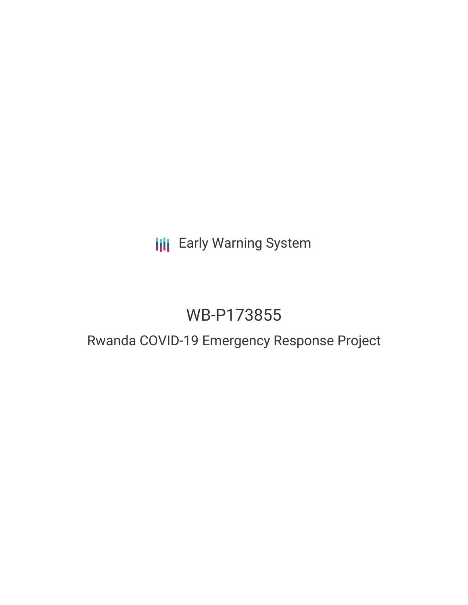# **III** Early Warning System

# WB-P173855

# Rwanda COVID-19 Emergency Response Project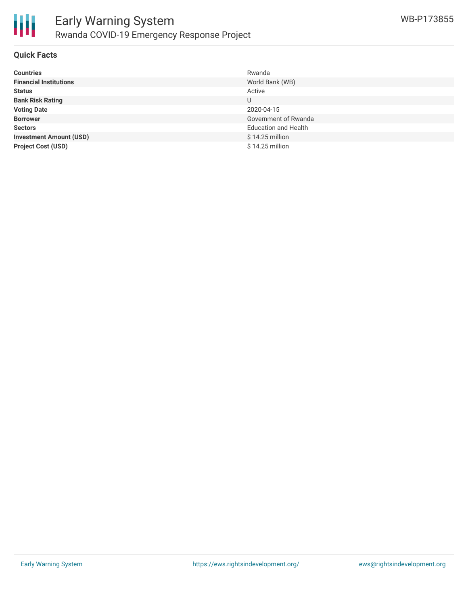

## **Quick Facts**

| <b>Countries</b>               | Rwanda                      |
|--------------------------------|-----------------------------|
| <b>Financial Institutions</b>  | World Bank (WB)             |
| <b>Status</b>                  | Active                      |
| <b>Bank Risk Rating</b>        | U                           |
| <b>Voting Date</b>             | 2020-04-15                  |
| <b>Borrower</b>                | Government of Rwanda        |
| <b>Sectors</b>                 | <b>Education and Health</b> |
| <b>Investment Amount (USD)</b> | $$14.25$ million            |
| <b>Project Cost (USD)</b>      | \$14.25 million             |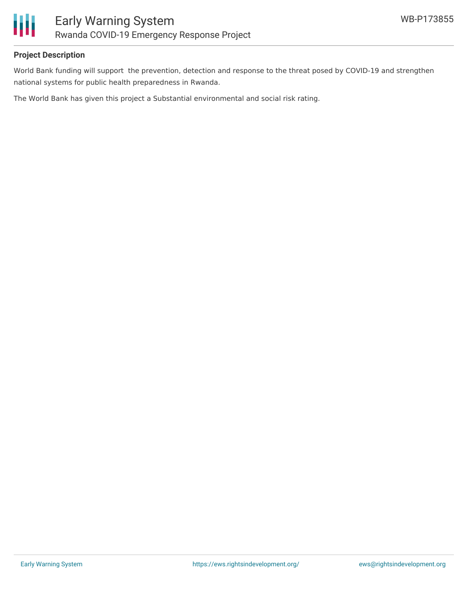

## **Project Description**

World Bank funding will support the prevention, detection and response to the threat posed by COVID-19 and strengthen national systems for public health preparedness in Rwanda.

The World Bank has given this project a Substantial environmental and social risk rating.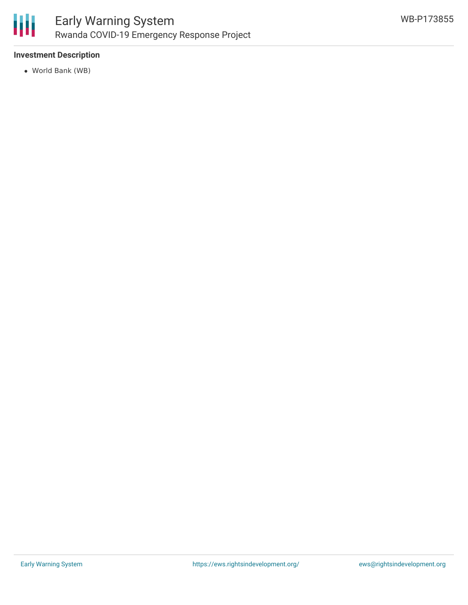

# **Investment Description**

World Bank (WB)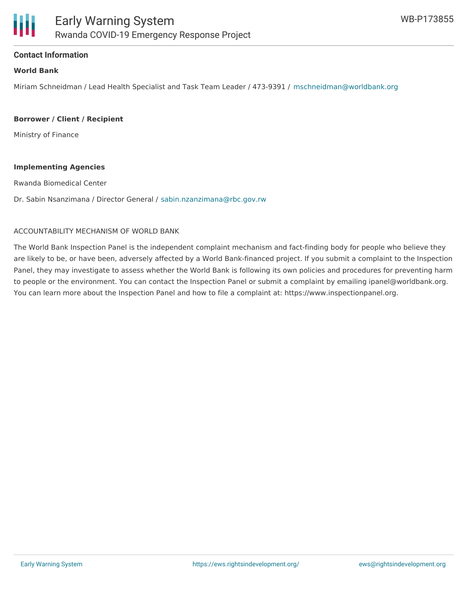

### **Contact Information**

#### **World Bank**

Miriam Schneidman / Lead Health Specialist and Task Team Leader / 473-9391 / [mschneidman@worldbank.org](mailto:mschneidman@worldbank.org)

#### **Borrower / Client / Recipient**

Ministry of Finance

#### **Implementing Agencies**

Rwanda Biomedical Center

Dr. Sabin Nsanzimana / Director General / [sabin.nzanzimana@rbc.gov.rw](mailto:sabin.nzanzimana@rbc.gov.rw)

### ACCOUNTABILITY MECHANISM OF WORLD BANK

The World Bank Inspection Panel is the independent complaint mechanism and fact-finding body for people who believe they are likely to be, or have been, adversely affected by a World Bank-financed project. If you submit a complaint to the Inspection Panel, they may investigate to assess whether the World Bank is following its own policies and procedures for preventing harm to people or the environment. You can contact the Inspection Panel or submit a complaint by emailing ipanel@worldbank.org. You can learn more about the Inspection Panel and how to file a complaint at: https://www.inspectionpanel.org.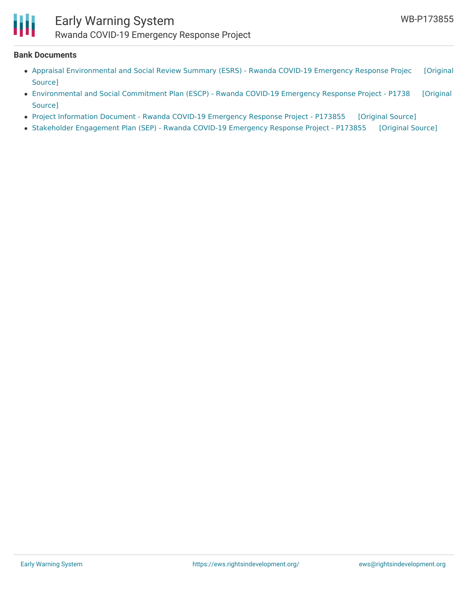

### **Bank Documents**

- Appraisal [Environmental](https://ewsdata.rightsindevelopment.org/files/documents/55/WB-P173855.pdf) and Social Review Summary (ESRS) Rwanda COVID-19 Emergency Response Projec [Original Source]
- [Environmental](https://ewsdata.rightsindevelopment.org/files/documents/55/WB-P173855_DditTRo.pdf) and Social Commitment Plan (ESCP) Rwanda COVID-19 Emergency Response Project P1738 [Original Source]
- Project [Information](https://ewsdata.rightsindevelopment.org/files/documents/55/WB-P173855_PcKRNDO.pdf) Document Rwanda COVID-19 Emergency Response Project P173855 [\[Original](http://documents.worldbank.org/curated/en/495461585802357273/pdf/Project-Information-Document-Rwanda-COVID-19-Emergency-Response-Project-P173855.pdf) Source]
- Stakeholder [Engagement](https://ewsdata.rightsindevelopment.org/files/documents/55/WB-P173855_VNy70Fh.pdf) Plan (SEP) Rwanda COVID-19 Emergency Response Project P173855 [\[Original](http://documents.worldbank.org/curated/en/465331585778137487/pdf/Stakeholder-Engagement-Plan-SEP-Rwanda-COVID-19-Emergency-Response-Project-P173855.pdf) Source]